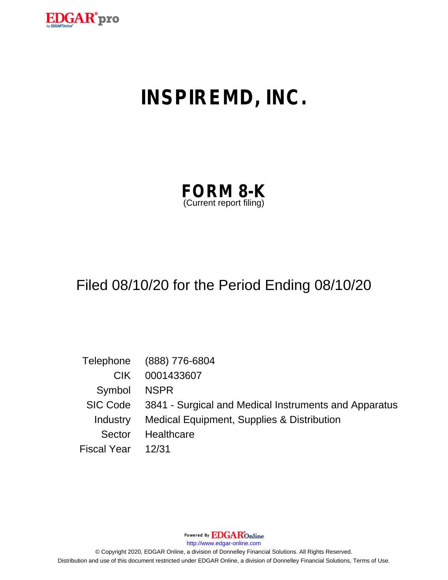

# **INSPIREMD, INC.**

| <b>FORM 8-K</b>         |  |
|-------------------------|--|
| (Current report filing) |  |

## Filed 08/10/20 for the Period Ending 08/10/20

|                    | Telephone (888) 776-6804                                       |
|--------------------|----------------------------------------------------------------|
| CIK.               | 0001433607                                                     |
| Symbol NSPR        |                                                                |
|                    | SIC Code 3841 - Surgical and Medical Instruments and Apparatus |
|                    | Industry Medical Equipment, Supplies & Distribution            |
| Sector             | Healthcare                                                     |
| Fiscal Year  12/31 |                                                                |

Powered By **EDGAR**Online

http://www.edgar-online.com

© Copyright 2020, EDGAR Online, a division of Donnelley Financial Solutions. All Rights Reserved. Distribution and use of this document restricted under EDGAR Online, a division of Donnelley Financial Solutions, Terms of Use.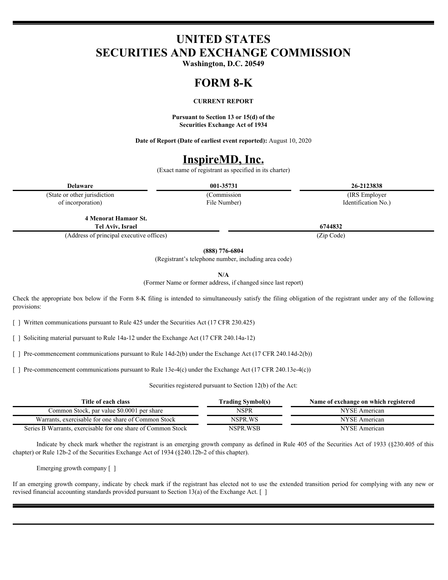## **UNITED STATES SECURITIES AND EXCHANGE COMMISSION**

**Washington, D.C. 20549**

## **FORM 8-K**

#### **CURRENT REPORT**

**Pursuant to Section 13 or 15(d) of the Securities Exchange Act of 1934**

**Date of Report (Date of earliest event reported):** August 10, 2020

### **InspireMD, Inc.**

(Exact name of registrant as specified in its charter)

**Delaware 001-35731 26-2123838**

(State or other jurisdiction of incorporation)

File Number)

(Commission (IRS Employer Identification No.)

**4 Menorat Hamaor St. Tel Aviv, Israel 6744832**

(Address of principal executive offices) (Zip Code)

**(888) 776-6804**

(Registrant's telephone number, including area code)

**N/A**

(Former Name or former address, if changed since last report)

Check the appropriate box below if the Form 8-K filing is intended to simultaneously satisfy the filing obligation of the registrant under any of the following provisions:

[ ] Written communications pursuant to Rule 425 under the Securities Act (17 CFR 230.425)

[ ] Soliciting material pursuant to Rule 14a-12 under the Exchange Act (17 CFR 240.14a-12)

[ ] Pre-commencement communications pursuant to Rule 14d-2(b) under the Exchange Act (17 CFR 240.14d-2(b))

[ ] Pre-commencement communications pursuant to Rule 13e-4(c) under the Exchange Act (17 CFR 240.13e-4(c))

Securities registered pursuant to Section 12(b) of the Act:

| Title of each class                                                 | rading Symbol(s) | Name of exchange on which registered |
|---------------------------------------------------------------------|------------------|--------------------------------------|
| c, par value \$0.0001 per share<br>Jommon Stock                     | NSPR             | NYSE American                        |
| Warrants.<br>exercisable for one share of Common Stock              | NSPR.WS          | NYSE<br>E American                   |
| Series B Warrants, exercisable for one share of C<br>f Common Stock | NSPR.WSB         | NVSE<br>: American                   |

Indicate by check mark whether the registrant is an emerging growth company as defined in Rule 405 of the Securities Act of 1933 (§230.405 of this chapter) or Rule 12b-2 of the Securities Exchange Act of 1934 (§240.12b-2 of this chapter).

Emerging growth company [ ]

If an emerging growth company, indicate by check mark if the registrant has elected not to use the extended transition period for complying with any new or revised financial accounting standards provided pursuant to Section 13(a) of the Exchange Act. [ ]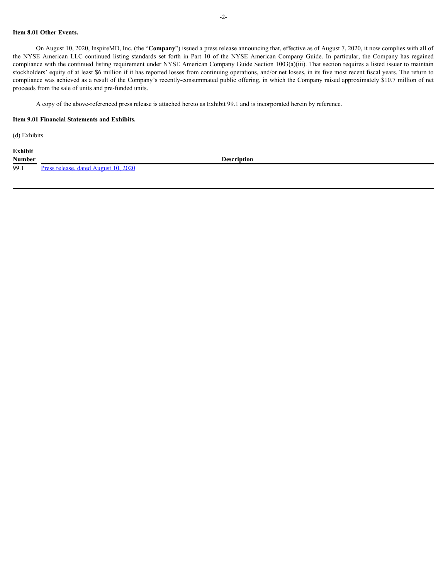#### **Item 8.01 Other Events.**

On August 10, 2020, InspireMD, Inc. (the "**Company**") issued a press release announcing that, effective as of August 7, 2020, it now complies with all of 2-<br>
1 tem 8.01 Other Events.<br>
On August 10, 2020, InspireMD, Inc. (the "Company") issued a press release announcing that, effective as of August 7, 2020, it now complies with all of<br>
the NYSE American LLC continued listing compliance with the continued listing requirement under NYSE American Company Guide Section 1003(a)(iii). That section requires a listed issuer to maintain stockholders' equity of at least \$6 million if it has reported losses from continuing operations, and/or net losses, in its five most recent fiscal years. The return to compliance was achieved as a result of the Company's recently-consummated public offering, in which the Company raised approximately \$10.7 million of net proceeds from the sale of units and pre-funded units.

A copy of the above-referenced press release is attached hereto as Exhibit 99.1 and is incorporated herein by reference.

#### **Item 9.01 Financial Statements and Exhibits.**

(d) Exhibits

**Exhibit Number Description** 99.1 [Press release, dated August 10, 2020](#page-4-0)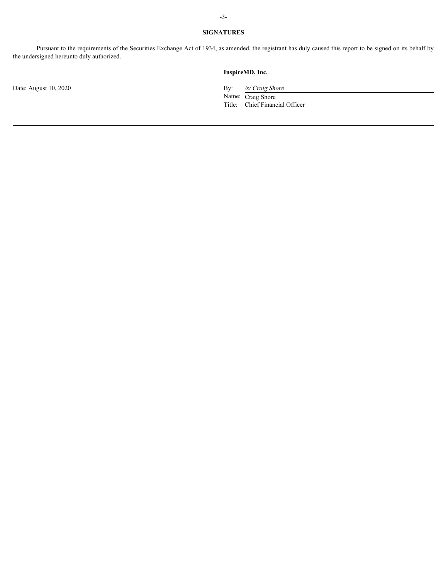#### **SIGNATURES**

Pursuant to the requirements of the Securities Exchange Act of 1934, as amended, the registrant has duly caused this report to be signed on its behalf by the undersigned hereunto duly authorized.

#### **InspireMD, Inc.**

Date: August 10, 2020 By: */s/ Craig Shore*

Name: Craig Shore Title: Chief Financial Officer